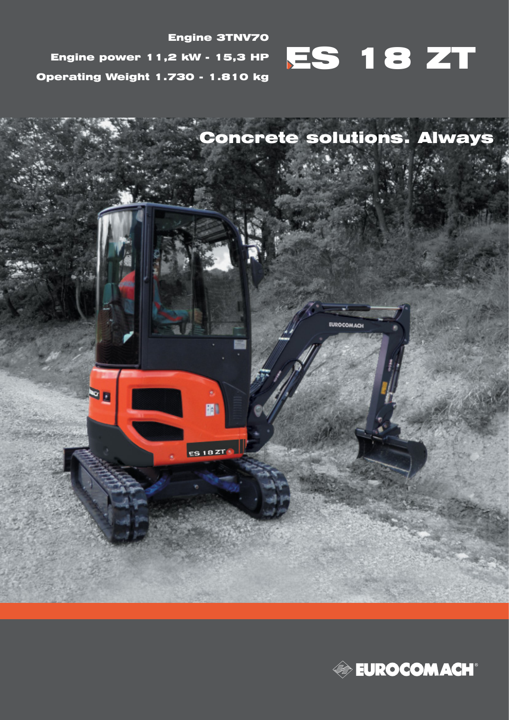

Engine 3TNV70 Engine power 11,2 kW - 15,3 HP Operating Weight 1.730 - 1.810 kg